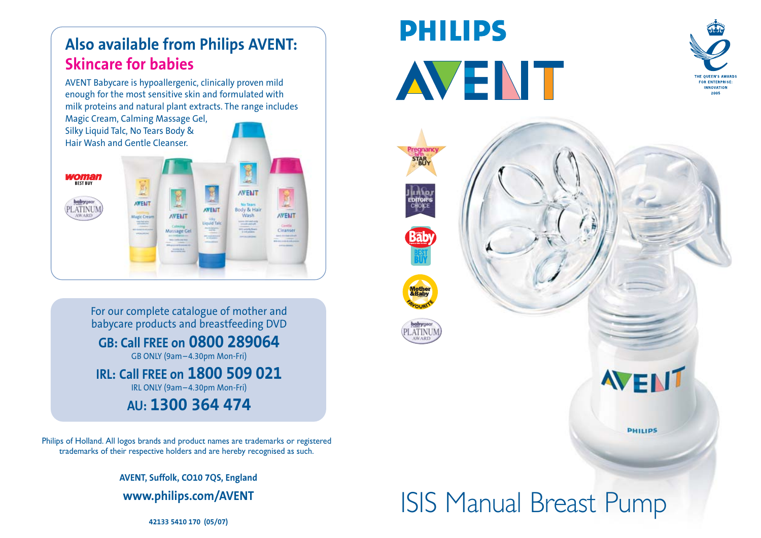# **Also available from Philips AVENT: Skincare for babies**

AVENT Babycare is hypoallergenic, clinically proven mild enough for the most sensitive skin and formulated with milk proteins and natural plant extracts. The range includes

Magic Cream, Calming Massage Gel, Silky Liquid Talc, No Tears Body & Hair Wash and Gentle Cleanser.



For our complete catalogue of mother and babycare products and breastfeeding DVD **GB: Call FREE on 0800 289064** GB ONLY (9am – 4.30pm Mon-Fri)

**IRL: Call FREE on 1800 509 021** IRL ONLY (9am – 4.30pm Mon-Fri)

**AU: 1300 364 474**

Philips of Holland. All logos brands and product names are trademarks or registered trademarks of their respective holders and are hereby recognised as such.

> **AVENT, Suffolk, CO10 7QS, England www.philips.com/AVENT**

**PHILIPS AVENT** 





**Exphilips.com/AVENT**<br>42133 5410 170 (05/07)<br>42133 5410 170 (05/07)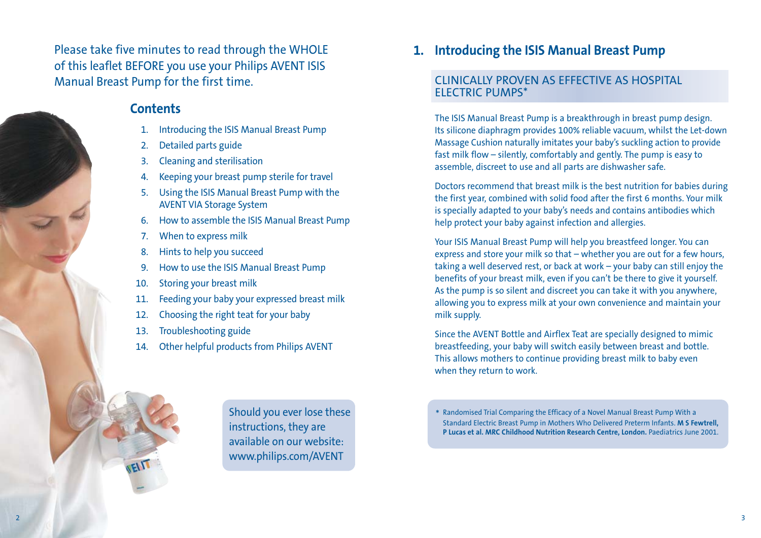Please take five minutes to read through the WHOLE of this leaflet BEFORE you use your Philips AVENT ISIS Manual Breast Pump for the first time.

#### **Contents**

- 1. Introducing the ISIS Manual Breast Pump
- 2. Detailed parts guide
- 3. Cleaning and sterilisation
- 4. Keeping your breast pump sterile for travel
- 5. Using the ISIS Manual Breast Pump with the AVENT VIA Storage System
- 6. How to assemble the ISIS Manual Breast Pump
- 7. When to express milk
- 8. Hints to help you succeed
- 9. How to use the ISIS Manual Breast Pump
- 10. Storing your breast milk
- 11. Feeding your baby your expressed breast milk
- 12. Choosing the right teat for your baby
- 13. Troubleshooting guide
- 14. Other helpful products from Philips AVENT

**1. Introducing the ISIS Manual Breast Pump**

#### CLINICALLY PROVEN AS EFFECTIVE AS HOSPITAL ELECTRIC PUMPS\*

The ISIS Manual Breast Pump is a breakthrough in breast pump design. Its silicone diaphragm provides 100% reliable vacuum, whilst the Let-down Massage Cushion naturally imitates your baby's suckling action to provide fast milk flow – silently, comfortably and gently. The pump is easy to assemble, discreet to use and all parts are dishwasher safe.

Doctors recommend that breast milk is the best nutrition for babies during the first year, combined with solid food after the first 6 months. Your milk is specially adapted to your baby's needs and contains antibodies which help protect your baby against infection and allergies.

Your ISIS Manual Breast Pump will help you breastfeed longer. You can express and store your milk so that – whether you are out for a few hours, taking a well deserved rest, or back at work – your baby can still enjoy the benefits of your breast milk, even if you can't be there to give it yourself. As the pump is so silent and discreet you can take it with you anywhere, allowing you to express milk at your own convenience and maintain your milk supply.

Since the AVENT Bottle and Airflex Teat are specially designed to mimic breastfeeding, your baby will switch easily between breast and bottle. This allows mothers to continue providing breast milk to baby even when they return to work.



Should you ever lose these instructions, they are available on our website: www.philips.com/AVENT

\* Randomised Trial Comparing the Efficacy of a Novel Manual Breast Pump With a Standard Electric Breast Pump in Mothers Who Delivered Preterm Infants. **M S Fewtrell, P Lucas et al. MRC Childhood Nutrition Research Centre, London.** Paediatrics June 2001.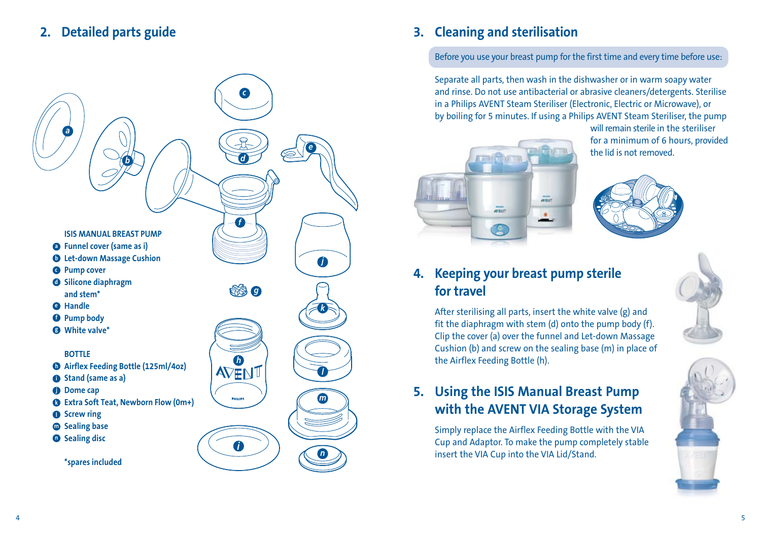# **2. Detailed parts guide**



# **3. Cleaning and sterilisation**

Before you use your breast pump for the first time and every time before use:

Separate all parts, then wash in the dishwasher or in warm soapy water and rinse. Do not use antibacterial or abrasive cleaners/detergents. Sterilise in a Philips AVENT Steam Steriliser (Electronic, Electric or Microwave), or by boiling for 5 minutes. If using a Philips AVENT Steam Steriliser, the pump



will remain sterile in the steriliser for a minimum of 6 hours, provided the lid is not removed.



# **4. Keeping your breast pump sterile for travel**

After sterilising all parts, insert the white valve (g) and fit the diaphragm with stem (d) onto the pump body (f). Clip the cover (a) over the funnel and Let-down Massage Cushion (b) and screw on the sealing base (m) in place of the Airflex Feeding Bottle (h).

# **5. Using the ISIS Manual Breast Pump with the AVENT VIA Storage System**

Simply replace the Airflex Feeding Bottle with the VIA Cup and Adaptor. To make the pump completely stable insert the VIA Cup into the VIA Lid/Stand.

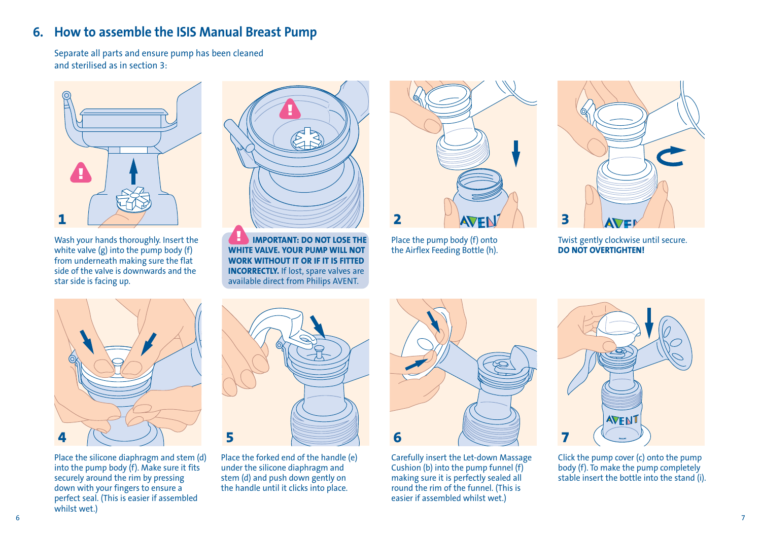## **6. How to assemble the ISIS Manual Breast Pump**

Separate all parts and ensure pump has been cleaned and sterilised as in section 3:



Wash your hands thoroughly. Insert the white valve  $(g)$  into the pump body  $(f)$ from underneath making sure the flat side of the valve is downwards and the star side is facing up.



**IMPORTANT: DO NOT LOSE THE WHITE VALVE. YOUR PUMP WILL NOT WORK WITHOUT IT OR IF IT IS FITTED INCORRECTLY.** If lost, spare valves are available direct from Philips AVENT.



Place the pump body (f) onto the Airflex Feeding Bottle (h).



Twist gently clockwise until secure. **DO NOT OVERTIGHTEN!**



Place the silicone diaphragm and stem (d) into the pump body (f). Make sure it fits securely around the rim by pressing down with your fingers to ensure a perfect seal. (This is easier if assembled whilst wet.)



Place the forked end of the handle (e) under the silicone diaphragm and stem (d) and push down gently on the handle until it clicks into place.



Carefully insert the Let-down Massage Cushion (b) into the pump funnel (f) making sure it is perfectly sealed all round the rim of the funnel. (This is easier if assembled whilst wet.)



Click the pump cover (c) onto the pump body (f). To make the pump completely stable insert the bottle into the stand (i).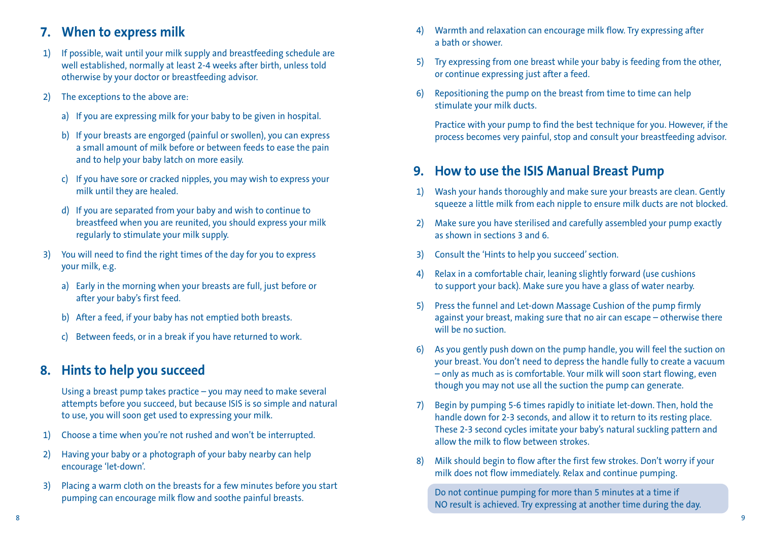### **7. When to express milk**

- 1) If possible, wait until your milk supply and breastfeeding schedule are well established, normally at least 2-4 weeks after birth, unless told otherwise by your doctor or breastfeeding advisor.
- 2) The exceptions to the above are:
	- a) If you are expressing milk for your baby to be given in hospital.
	- b) If your breasts are engorged (painful or swollen), you can express a small amount of milk before or between feeds to ease the pain and to help your baby latch on more easily.
	- c) If you have sore or cracked nipples, you may wish to express your milk until they are healed.
	- d) If you are separated from your baby and wish to continue to breastfeed when you are reunited, you should express your milk regularly to stimulate your milk supply.
- 3) You will need to find the right times of the day for you to express your milk, e.g.
	- a) Early in the morning when your breasts are full, just before or after your baby's first feed.
	- b) After a feed, if your baby has not emptied both breasts.
	- c) Between feeds, or in a break if you have returned to work.

## **8. Hints to help you succeed**

Using a breast pump takes practice – you may need to make several attempts before you succeed, but because ISIS is so simple and natural to use, you will soon get used to expressing your milk.

- 1) Choose a time when you're not rushed and won't be interrupted.
- 2) Having your baby or a photograph of your baby nearby can help encourage 'let-down'.
- 3) Placing a warm cloth on the breasts for a few minutes before you start pumping can encourage milk flow and soothe painful breasts.
- 4) Warmth and relaxation can encourage milk flow. Try expressing after a bath or shower.
- 5) Try expressing from one breast while your baby is feeding from the other, or continue expressing just after a feed.
- 6) Repositioning the pump on the breast from time to time can help stimulate your milk ducts.

Practice with your pump to find the best technique for you. However, if the process becomes very painful, stop and consult your breastfeeding advisor.

## **9. How to use the ISIS Manual Breast Pump**

- 1) Wash your hands thoroughly and make sure your breasts are clean. Gently squeeze a little milk from each nipple to ensure milk ducts are not blocked.
- 2) Make sure you have sterilised and carefully assembled your pump exactly as shown in sections 3 and 6.
- 3) Consult the 'Hints to help you succeed' section.
- 4) Relax in a comfortable chair, leaning slightly forward (use cushions to support your back). Make sure you have a glass of water nearby.
- 5) Press the funnel and Let-down Massage Cushion of the pump firmly against your breast, making sure that no air can escape – otherwise there will be no suction.
- 6) As you gently push down on the pump handle, you will feel the suction on your breast. You don't need to depress the handle fully to create a vacuum – only as much as is comfortable. Your milk will soon start flowing, even though you may not use all the suction the pump can generate.
- Begin by pumping 5-6 times rapidly to initiate let-down. Then, hold the handle down for 2-3 seconds, and allow it to return to its resting place. These 2-3 second cycles imitate your baby's natural suckling pattern and allow the milk to flow between strokes.
- 8) Milk should begin to flow after the first few strokes. Don't worry if your milk does not flow immediately. Relax and continue pumping.

Do not continue pumping for more than 5 minutes at a time if NO result is achieved. Try expressing at another time during the day.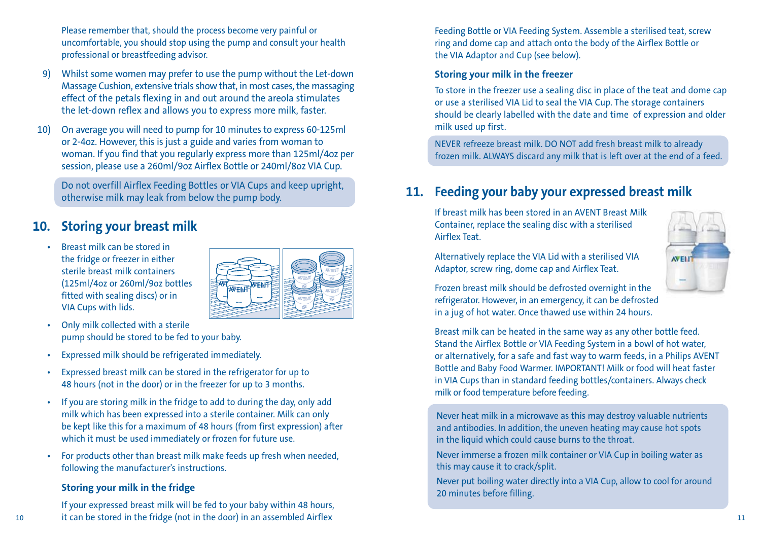Please remember that, should the process become very painful or uncomfortable, you should stop using the pump and consult your health professional or breastfeeding advisor.

- 9) Whilst some women may prefer to use the pump without the Let-down Massage Cushion, extensive trials show that, in most cases, the massaging effect of the petals flexing in and out around the areola stimulates the let-down reflex and allows you to express more milk, faster.
- 10) On average you will need to pump for 10 minutes to express 60-125ml or 2-4oz. However, this is just a guide and varies from woman to woman. If you find that you regularly express more than 125ml/4oz per session, please use a 260ml/9oz Airflex Bottle or 240ml/8oz VIA Cup.

Do not overfill Airflex Feeding Bottles or VIA Cups and keep upright, otherwise milk may leak from below the pump body.

## **10. Storing your breast milk**

• Breast milk can be stored in the fridge or freezer in either sterile breast milk containers (125ml/4oz or 260ml/9oz bottles fitted with sealing discs) or in VIA Cups with lids.



- Only milk collected with a sterile pump should be stored to be fed to your baby.
- Expressed milk should be refrigerated immediately.
- Expressed breast milk can be stored in the refrigerator for up to 48 hours (not in the door) or in the freezer for up to 3 months.
- If you are storing milk in the fridge to add to during the day, only add milk which has been expressed into a sterile container. Milk can only be kept like this for a maximum of 48 hours (from first expression) after which it must be used immediately or frozen for future use.
- For products other than breast milk make feeds up fresh when needed, following the manufacturer's instructions.

#### **Storing your milk in the fridge**

If your expressed breast milk will be fed to your baby within 48 hours, it can be stored in the fridge (not in the door) in an assembled Airflex 10 11

Feeding Bottle or VIA Feeding System. Assemble a sterilised teat, screw ring and dome cap and attach onto the body of the Airflex Bottle or the VIA Adaptor and Cup (see below).

#### **Storing your milk in the freezer**

To store in the freezer use a sealing disc in place of the teat and dome cap or use a sterilised VIA Lid to seal the VIA Cup. The storage containers should be clearly labelled with the date and time of expression and older milk used up first.

NEVER refreeze breast milk. DO NOT add fresh breast milk to already frozen milk. ALWAYS discard any milk that is left over at the end of a feed.

## **11. Feeding your baby your expressed breast milk**

If breast milk has been stored in an AVENT Breast Milk Container, replace the sealing disc with a sterilised Airflex Teat.



Alternatively replace the VIA Lid with a sterilised VIA Adaptor, screw ring, dome cap and Airflex Teat.

Frozen breast milk should be defrosted overnight in the refrigerator. However, in an emergency, it can be defrosted in a jug of hot water. Once thawed use within 24 hours.

Breast milk can be heated in the same way as any other bottle feed. Stand the Airflex Bottle or VIA Feeding System in a bowl of hot water, or alternatively, for a safe and fast way to warm feeds, in a Philips AVENT Bottle and Baby Food Warmer. IMPORTANT! Milk or food will heat faster in VIA Cups than in standard feeding bottles/containers. Always check milk or food temperature before feeding.

Never heat milk in a microwave as this may destroy valuable nutrients and antibodies. In addition, the uneven heating may cause hot spots in the liquid which could cause burns to the throat.

Never immerse a frozen milk container or VIA Cup in boiling water as this may cause it to crack/split.

Never put boiling water directly into a VIA Cup, allow to cool for around 20 minutes before filling.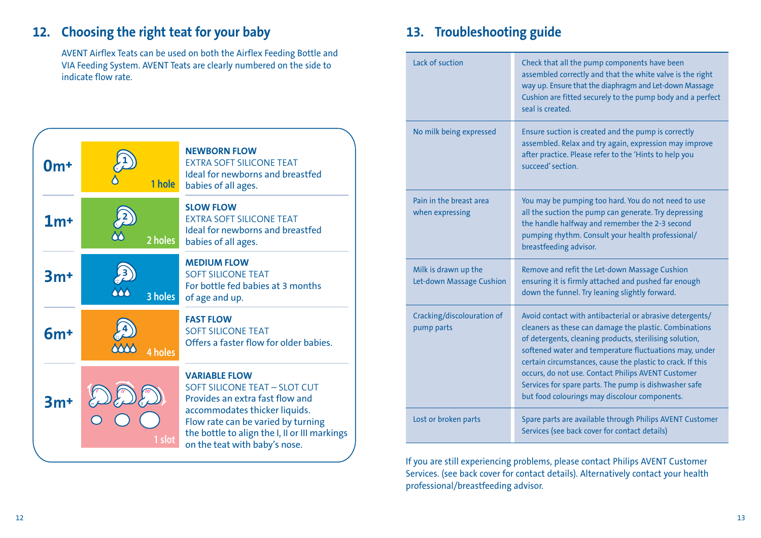# **12. Choosing the right teat for your baby**

AVENT Airflex Teats can be used on both the Airflex Feeding Bottle and VIA Feeding System. AVENT Teats are clearly numbered on the side to indicate flow rate.



# **13. Troubleshooting guide**

| Lack of suction                                  | Check that all the pump components have been<br>assembled correctly and that the white valve is the right<br>way up. Ensure that the diaphragm and Let-down Massage<br>Cushion are fitted securely to the pump body and a perfect<br>seal is created                                                                                                                                                                                                                  |
|--------------------------------------------------|-----------------------------------------------------------------------------------------------------------------------------------------------------------------------------------------------------------------------------------------------------------------------------------------------------------------------------------------------------------------------------------------------------------------------------------------------------------------------|
| No milk being expressed                          | Ensure suction is created and the pump is correctly<br>assembled. Relax and try again, expression may improve<br>after practice. Please refer to the 'Hints to help you<br>succeed' section                                                                                                                                                                                                                                                                           |
| Pain in the breast area<br>when expressing       | You may be pumping too hard. You do not need to use<br>all the suction the pump can generate. Try depressing<br>the handle halfway and remember the 2-3 second<br>pumping rhythm. Consult your health professional/<br>breastfeeding advisor.                                                                                                                                                                                                                         |
| Milk is drawn up the<br>Let-down Massage Cushion | Remove and refit the Let-down Massage Cushion<br>ensuring it is firmly attached and pushed far enough<br>down the funnel. Try leaning slightly forward.                                                                                                                                                                                                                                                                                                               |
| Cracking/discolouration of<br>pump parts         | Avoid contact with antibacterial or abrasive detergents/<br>cleaners as these can damage the plastic. Combinations<br>of detergents, cleaning products, sterilising solution,<br>softened water and temperature fluctuations may, under<br>certain circumstances, cause the plastic to crack. If this<br>occurs, do not use. Contact Philips AVENT Customer<br>Services for spare parts. The pump is dishwasher safe<br>but food colourings may discolour components. |
| Lost or broken parts                             | Spare parts are available through Philips AVENT Customer<br>Services (see back cover for contact details)                                                                                                                                                                                                                                                                                                                                                             |

If you are still experiencing problems, please contact Philips AVENT Customer Services. (see back cover for contact details). Alternatively contact your health professional/breastfeeding advisor.